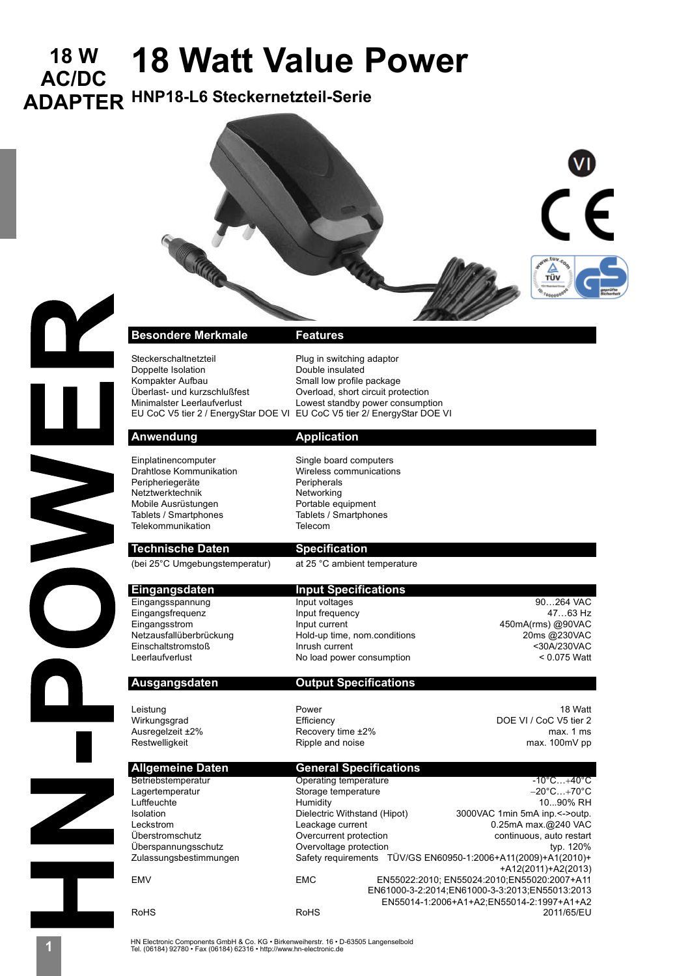# **18 W 18 Watt Value Power AC/DC**

Steckerschaltnetzteil Plug in switching adaptor<br>
Double insulated<br>
Double insulated

**ADAPTER HNP18-L6 Steckernetzteil-Serie** 





## Anwendung **Application** Einplatinencomputer Single board computers Drahtlose Kommunikation Wireless communications Peripheriegeräte Netztwerktechnik<br>Mobile Ausrüstungen Mobile equipment Mobile Ausrüstungen aussischen Portable equipment<br>Tablets / Smartphones aussischen Tablets / Smartphones Tablets / Smartphones Telekommunikation Telecom

Doppelte Isolation<br>Kompakter Aufbau

**Technische Daten Specification** 

Kompakter Aufbau Small low profile package<br>Überlast- und kurzschlußfest Soverload, short circuit pro Overload, short circuit protection Minimalster Leerlaufverlust Lowest standby power consumption EU CoC V5 tier 2 / EnergyStar DOE VI EU CoC V5 tier 2/ EnergyStar DOE VI

(bei 25°C Umgebungstemperatur) at 25 °C ambient temperature

**Eingangsdaten Input Specifications**<br> **Eingangsspannung** Input voltages Eingangsspannung Input voltages 190...264 VAC<br>
Input frequency 190...264 VAC<br>
Input frequency 190...264 VAC Eingangsfrequenz Input frequency Eingangsstrom 1000 mm input current 1000 mm insults and the manufacture of the Handrey Metzausfalluberbrückung<br>
Netzausfallüberbrückung 1000 mm indig-up time, nom conditions 1000 mm insults and the 2000 mm in the Hold-up Einschaltstromstoß Inrush current <30A/230VAC

### **Ausgangsdaten Output Specifications**

No load power consumption

Hold-up time, nom.conditions

Ausregelzeit ±2% max. 1 ms<br>Restwelligkeit example at the Ripple and noise max. 1 ms max. 100mV pp Ripple and noise Betriebstemperatur Cherating temperature -10°C...+40°C<br>
Lagertemperatur Cherating Storage temperature -20°C...+70°C Overvoltage protection

Leistung 18 Watt $\,$  Power 2001 - 2001 - 2002 18 Watt $\,$ Wirkungsgrad Efficiency DOE VI / CoC V5 tier 2

## **Allgemeine Daten General Specifications**<br> **General Specifications**<br> **General Specifications** Lagertemperatur <a>
20°CC+70°C Storage temperature <a>
Luftfeuchte <a>
Humidity +10°CC+70°C +10°CC+70°C +10°CC+70°C +10°CC+70°C +10°CC+70°C +10°CC+70°C +10°CC+70°C +10°CC+70°C +10°CC+70°C +10°CC+70°C +10°CC+70°C +10°CC+70

Humidity 10...90% RH<br>Dielectric Withstand (Hipot) 3000VAC 1min 5mA inp.<->outp. Isolation Dielectric Withstand (Hipot) 3000VAC 1min 5mA inp.<->outp. Leckstrom Leackage current 1999 CLEA 240 VAC Leckstrom C.25mA max.@240 VAC Überstromschutz Overcurrent protection continuous, auto restart Zulassungsbestimmungen Safety requirements TÜV/GS EN60950-1:2006+A11(2009)+A1(2010)+ +A12(2011)+A2(2013) EMV EMC EN55022:2010; EN55024:2010;EN55020:2007+A11 EN61000-3-2:2014;EN61000-3-3:2013;EN55013:2013 EN55014-1:2006+A1+A2;EN55014-2:1997+A1+A2 RoHS RoHS 2011/65/EU

HN Electronic Components GmbH & Co. KG • Birkenweiherstr. 16 • D-63505 Langenselbold **1** Tel. (06184) 92780 • Fax (06184) 62316 • http://www.hn-electronic.de